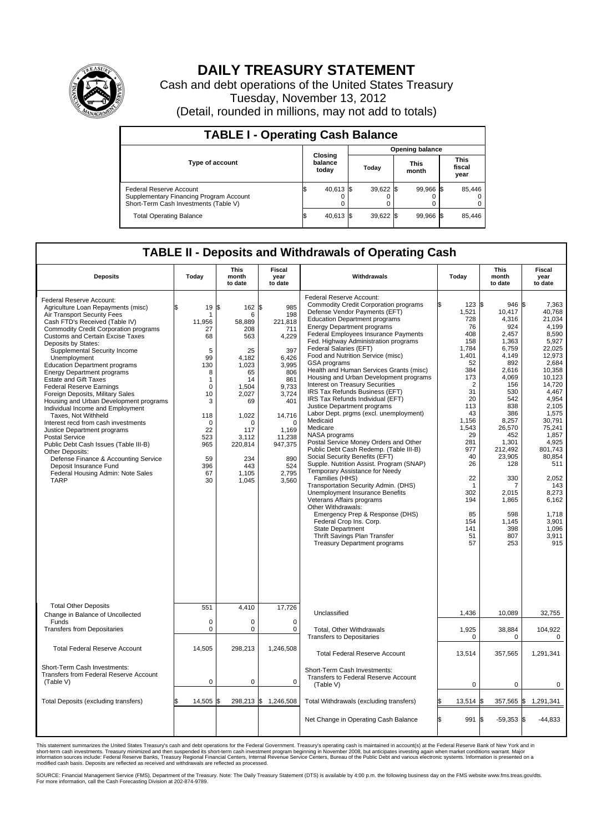

## **DAILY TREASURY STATEMENT**

Cash and debt operations of the United States Treasury Tuesday, November 13, 2012 (Detail, rounded in millions, may not add to totals)

| <b>TABLE I - Operating Cash Balance</b>                                                                     |                             |                        |                      |                               |  |  |  |  |  |  |  |
|-------------------------------------------------------------------------------------------------------------|-----------------------------|------------------------|----------------------|-------------------------------|--|--|--|--|--|--|--|
|                                                                                                             |                             | <b>Opening balance</b> |                      |                               |  |  |  |  |  |  |  |
| <b>Type of account</b>                                                                                      | Closing<br>balance<br>today | Todav                  | <b>This</b><br>month | <b>This</b><br>fiscal<br>year |  |  |  |  |  |  |  |
| Federal Reserve Account<br>Supplementary Financing Program Account<br>Short-Term Cash Investments (Table V) | 40,613 \$                   | $39,622$ \$            | 99.966 \$            | 85,446<br>$^{(1)}$<br>0       |  |  |  |  |  |  |  |
| <b>Total Operating Balance</b>                                                                              | 40,613 \$                   | $39,622$ \$            | 99,966 \$            | 85,446                        |  |  |  |  |  |  |  |

## **TABLE II - Deposits and Withdrawals of Operating Cash**

| <b>Deposits</b>                                                                                                                                                                                                                                                                                                                                                                                                                                                                                                                                                                                                                                                                                                                                                                                                                                                             | Today                                                                                                                                                  | <b>This</b><br>month<br>to date                                                                                                                                              | <b>Fiscal</b><br>year<br>to date                                                                                                                                                                 | Withdrawals                                                                                                                                                                                                                                                                                                                                                                                                                                                                                                                                                                                                                                                                                                                                                                                                                                                                                                                                                                                                                                                                                                                                                                              | Today                                                                                                                                                                                                                                  | This<br>month<br>to date                                                                                                                                                                                                                                          | Fiscal<br>year<br>to date                                                                                                                                                                                                                                                                          |  |  |
|-----------------------------------------------------------------------------------------------------------------------------------------------------------------------------------------------------------------------------------------------------------------------------------------------------------------------------------------------------------------------------------------------------------------------------------------------------------------------------------------------------------------------------------------------------------------------------------------------------------------------------------------------------------------------------------------------------------------------------------------------------------------------------------------------------------------------------------------------------------------------------|--------------------------------------------------------------------------------------------------------------------------------------------------------|------------------------------------------------------------------------------------------------------------------------------------------------------------------------------|--------------------------------------------------------------------------------------------------------------------------------------------------------------------------------------------------|------------------------------------------------------------------------------------------------------------------------------------------------------------------------------------------------------------------------------------------------------------------------------------------------------------------------------------------------------------------------------------------------------------------------------------------------------------------------------------------------------------------------------------------------------------------------------------------------------------------------------------------------------------------------------------------------------------------------------------------------------------------------------------------------------------------------------------------------------------------------------------------------------------------------------------------------------------------------------------------------------------------------------------------------------------------------------------------------------------------------------------------------------------------------------------------|----------------------------------------------------------------------------------------------------------------------------------------------------------------------------------------------------------------------------------------|-------------------------------------------------------------------------------------------------------------------------------------------------------------------------------------------------------------------------------------------------------------------|----------------------------------------------------------------------------------------------------------------------------------------------------------------------------------------------------------------------------------------------------------------------------------------------------|--|--|
| Federal Reserve Account:<br>Agriculture Loan Repayments (misc)<br>Air Transport Security Fees<br>Cash FTD's Received (Table IV)<br><b>Commodity Credit Corporation programs</b><br><b>Customs and Certain Excise Taxes</b><br>Deposits by States:<br>Supplemental Security Income<br>Unemployment<br><b>Education Department programs</b><br><b>Energy Department programs</b><br><b>Estate and Gift Taxes</b><br><b>Federal Reserve Earnings</b><br>Foreign Deposits, Military Sales<br>Housing and Urban Development programs<br>Individual Income and Employment<br>Taxes, Not Withheld<br>Interest recd from cash investments<br>Justice Department programs<br><b>Postal Service</b><br>Public Debt Cash Issues (Table III-B)<br>Other Deposits:<br>Defense Finance & Accounting Service<br>Deposit Insurance Fund<br>Federal Housing Admin: Note Sales<br><b>TARP</b> | 19 \$<br>1<br>11,956<br>27<br>68<br>5<br>99<br>130<br>8<br>1<br>$\mathbf 0$<br>10<br>3<br>118<br>$\Omega$<br>22<br>523<br>965<br>59<br>396<br>67<br>30 | 162<br>6<br>58,889<br>208<br>563<br>25<br>4,182<br>1.023<br>65<br>14<br>1,504<br>2.027<br>69<br>1.022<br>$\Omega$<br>117<br>3,112<br>220,814<br>234<br>443<br>1,105<br>1,045 | 985<br>I\$<br>198<br>221,818<br>711<br>4,229<br>397<br>6,426<br>3.995<br>806<br>861<br>9,733<br>3,724<br>401<br>14,716<br>$\Omega$<br>1,169<br>11,238<br>947,375<br>890<br>524<br>2,795<br>3,560 | Federal Reserve Account:<br><b>Commodity Credit Corporation programs</b><br>Defense Vendor Payments (EFT)<br><b>Education Department programs</b><br><b>Energy Department programs</b><br>Federal Employees Insurance Payments<br>Fed. Highway Administration programs<br>Federal Salaries (EFT)<br>Food and Nutrition Service (misc)<br>GSA programs<br>Health and Human Services Grants (misc)<br>Housing and Urban Development programs<br><b>Interest on Treasury Securities</b><br>IRS Tax Refunds Business (EFT)<br>IRS Tax Refunds Individual (EFT)<br>Justice Department programs<br>Labor Dept. prgms (excl. unemployment)<br>Medicaid<br>Medicare<br>NASA programs<br>Postal Service Money Orders and Other<br>Public Debt Cash Redemp. (Table III-B)<br>Social Security Benefits (EFT)<br>Supple. Nutrition Assist. Program (SNAP)<br>Temporary Assistance for Needy<br>Families (HHS)<br>Transportation Security Admin. (DHS)<br><b>Unemployment Insurance Benefits</b><br>Veterans Affairs programs<br>Other Withdrawals:<br>Emergency Prep & Response (DHS)<br>Federal Crop Ins. Corp.<br>State Department<br>Thrift Savings Plan Transfer<br>Treasury Department programs | l\$<br>123S<br>1,521<br>728<br>76<br>408<br>158<br>1,784<br>1,401<br>52<br>384<br>173<br>$\overline{2}$<br>31<br>20<br>113<br>43<br>1,156<br>1,543<br>29<br>281<br>977<br>40<br>26<br>22<br>302<br>194<br>85<br>154<br>141<br>51<br>57 | 946 S<br>10,417<br>4,316<br>924<br>2.457<br>1,363<br>6,759<br>4,149<br>892<br>2.616<br>4,069<br>156<br>530<br>542<br>838<br>386<br>8,257<br>26,570<br>452<br>1,301<br>212,492<br>23,905<br>128<br>330<br>7<br>2,015<br>1,865<br>598<br>1,145<br>398<br>807<br>253 | 7,363<br>40.768<br>21,034<br>4,199<br>8.590<br>5,927<br>22,025<br>12,973<br>2,684<br>10.358<br>10,123<br>14.720<br>4,467<br>4.954<br>2,105<br>1,575<br>30,791<br>75,241<br>1,857<br>4,925<br>801.743<br>80,854<br>511<br>2,052<br>143<br>8,273<br>6,162<br>1.718<br>3,901<br>1,096<br>3,911<br>915 |  |  |
| <b>Total Other Deposits</b><br>Change in Balance of Uncollected                                                                                                                                                                                                                                                                                                                                                                                                                                                                                                                                                                                                                                                                                                                                                                                                             | 551                                                                                                                                                    | 4.410                                                                                                                                                                        | 17,726                                                                                                                                                                                           | Unclassified                                                                                                                                                                                                                                                                                                                                                                                                                                                                                                                                                                                                                                                                                                                                                                                                                                                                                                                                                                                                                                                                                                                                                                             | 1,436                                                                                                                                                                                                                                  | 10,089                                                                                                                                                                                                                                                            | 32,755                                                                                                                                                                                                                                                                                             |  |  |
| Funds<br><b>Transfers from Depositaries</b>                                                                                                                                                                                                                                                                                                                                                                                                                                                                                                                                                                                                                                                                                                                                                                                                                                 | 0<br>0                                                                                                                                                 | $\mathbf 0$<br>$\mathbf 0$                                                                                                                                                   | $\mathbf 0$<br>$\mathbf 0$                                                                                                                                                                       | Total, Other Withdrawals<br><b>Transfers to Depositaries</b>                                                                                                                                                                                                                                                                                                                                                                                                                                                                                                                                                                                                                                                                                                                                                                                                                                                                                                                                                                                                                                                                                                                             | 1,925<br>$\Omega$                                                                                                                                                                                                                      | 38.884<br>$\Omega$                                                                                                                                                                                                                                                | 104,922<br>0                                                                                                                                                                                                                                                                                       |  |  |
| <b>Total Federal Reserve Account</b>                                                                                                                                                                                                                                                                                                                                                                                                                                                                                                                                                                                                                                                                                                                                                                                                                                        | 14.505                                                                                                                                                 | 298.213                                                                                                                                                                      | 1.246.508                                                                                                                                                                                        | <b>Total Federal Reserve Account</b>                                                                                                                                                                                                                                                                                                                                                                                                                                                                                                                                                                                                                                                                                                                                                                                                                                                                                                                                                                                                                                                                                                                                                     | 13,514                                                                                                                                                                                                                                 | 357,565                                                                                                                                                                                                                                                           | 1,291,341                                                                                                                                                                                                                                                                                          |  |  |
| Short-Term Cash Investments:<br>Transfers from Federal Reserve Account<br>(Table V)                                                                                                                                                                                                                                                                                                                                                                                                                                                                                                                                                                                                                                                                                                                                                                                         | $\mathbf 0$                                                                                                                                            | $\mathbf 0$                                                                                                                                                                  | $\mathbf 0$                                                                                                                                                                                      | Short-Term Cash Investments:<br><b>Transfers to Federal Reserve Account</b><br>(Table V)                                                                                                                                                                                                                                                                                                                                                                                                                                                                                                                                                                                                                                                                                                                                                                                                                                                                                                                                                                                                                                                                                                 | $\mathbf 0$                                                                                                                                                                                                                            | 0                                                                                                                                                                                                                                                                 | 0                                                                                                                                                                                                                                                                                                  |  |  |
| Total Deposits (excluding transfers)                                                                                                                                                                                                                                                                                                                                                                                                                                                                                                                                                                                                                                                                                                                                                                                                                                        | 14,505                                                                                                                                                 | 1\$                                                                                                                                                                          | 298,213 \$ 1,246,508                                                                                                                                                                             | Total Withdrawals (excluding transfers)                                                                                                                                                                                                                                                                                                                                                                                                                                                                                                                                                                                                                                                                                                                                                                                                                                                                                                                                                                                                                                                                                                                                                  | 13,514 \$                                                                                                                                                                                                                              | 357,565 \$                                                                                                                                                                                                                                                        | 1,291,341                                                                                                                                                                                                                                                                                          |  |  |
|                                                                                                                                                                                                                                                                                                                                                                                                                                                                                                                                                                                                                                                                                                                                                                                                                                                                             |                                                                                                                                                        |                                                                                                                                                                              |                                                                                                                                                                                                  | Net Change in Operating Cash Balance                                                                                                                                                                                                                                                                                                                                                                                                                                                                                                                                                                                                                                                                                                                                                                                                                                                                                                                                                                                                                                                                                                                                                     | l\$<br>991 \$                                                                                                                                                                                                                          | $-59,353$ \$                                                                                                                                                                                                                                                      | $-44,833$                                                                                                                                                                                                                                                                                          |  |  |

This statement summarizes the United States Treasury's cash and debt operations for the Federal Government. Treasury's operating cash is maintained in account(s) at the Federal Reserve Bank of New York and in<br>short-term ca

SOURCE: Financial Management Service (FMS), Department of the Treasury. Note: The Daily Treasury Statement (DTS) is available by 4:00 p.m. the following business day on the FMS website www.fms.treas.gov/dts.<br>For more infor